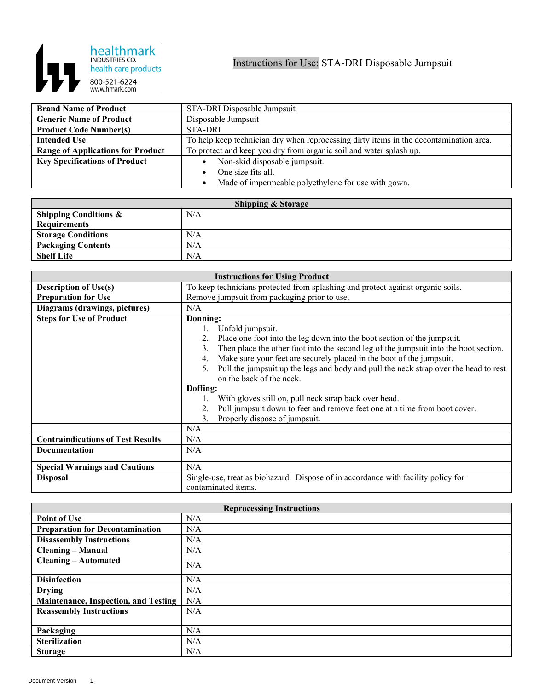

| <b>Brand Name of Product</b>             | STA-DRI Disposable Jumpsuit                                                            |
|------------------------------------------|----------------------------------------------------------------------------------------|
| <b>Generic Name of Product</b>           | Disposable Jumpsuit                                                                    |
| <b>Product Code Number(s)</b>            | <b>STA-DRI</b>                                                                         |
| <b>Intended Use</b>                      | To help keep technician dry when reprocessing dirty items in the decontamination area. |
| <b>Range of Applications for Product</b> | To protect and keep you dry from organic soil and water splash up.                     |
| <b>Key Specifications of Product</b>     | Non-skid disposable jumpsuit.                                                          |
|                                          | One size fits all.                                                                     |
|                                          | Made of impermeable polyethylene for use with gown.                                    |

| <b>Shipping &amp; Storage</b>    |     |  |
|----------------------------------|-----|--|
| <b>Shipping Conditions &amp;</b> | N/A |  |
| <b>Requirements</b>              |     |  |
| <b>Storage Conditions</b>        | N/A |  |
| <b>Packaging Contents</b>        | N/A |  |
| <b>Shelf Life</b>                | N/A |  |

| <b>Instructions for Using Product</b>    |                                                                                            |
|------------------------------------------|--------------------------------------------------------------------------------------------|
| <b>Description of Use(s)</b>             | To keep technicians protected from splashing and protect against organic soils.            |
| <b>Preparation for Use</b>               | Remove jumpsuit from packaging prior to use.                                               |
| Diagrams (drawings, pictures)            | N/A                                                                                        |
| <b>Steps for Use of Product</b>          | Donning:                                                                                   |
|                                          | Unfold jumpsuit.<br>1.                                                                     |
|                                          | Place one foot into the leg down into the boot section of the jumpsuit.                    |
|                                          | Then place the other foot into the second leg of the jumpsuit into the boot section.<br>3. |
|                                          | Make sure your feet are securely placed in the boot of the jumpsuit.<br>4.                 |
|                                          | Pull the jumpsuit up the legs and body and pull the neck strap over the head to rest       |
|                                          | on the back of the neck.                                                                   |
|                                          | Doffing:                                                                                   |
|                                          | With gloves still on, pull neck strap back over head.                                      |
|                                          | Pull jumpsuit down to feet and remove feet one at a time from boot cover.                  |
|                                          | Properly dispose of jumpsuit.<br>$\mathcal{E}$                                             |
|                                          | N/A                                                                                        |
| <b>Contraindications of Test Results</b> | N/A                                                                                        |
| Documentation                            | N/A                                                                                        |
|                                          |                                                                                            |
| <b>Special Warnings and Cautions</b>     | N/A                                                                                        |
| <b>Disposal</b>                          | Single-use, treat as biohazard. Dispose of in accordance with facility policy for          |
|                                          | contaminated items.                                                                        |

| <b>Reprocessing Instructions</b>       |     |
|----------------------------------------|-----|
| <b>Point of Use</b>                    | N/A |
| <b>Preparation for Decontamination</b> | N/A |
| <b>Disassembly Instructions</b>        | N/A |
| <b>Cleaning - Manual</b>               | N/A |
| <b>Cleaning - Automated</b>            | N/A |
| <b>Disinfection</b>                    | N/A |
| <b>Drying</b>                          | N/A |
| Maintenance, Inspection, and Testing   | N/A |
| <b>Reassembly Instructions</b>         | N/A |
|                                        |     |
| Packaging                              | N/A |
| <b>Sterilization</b>                   | N/A |
| <b>Storage</b>                         | N/A |